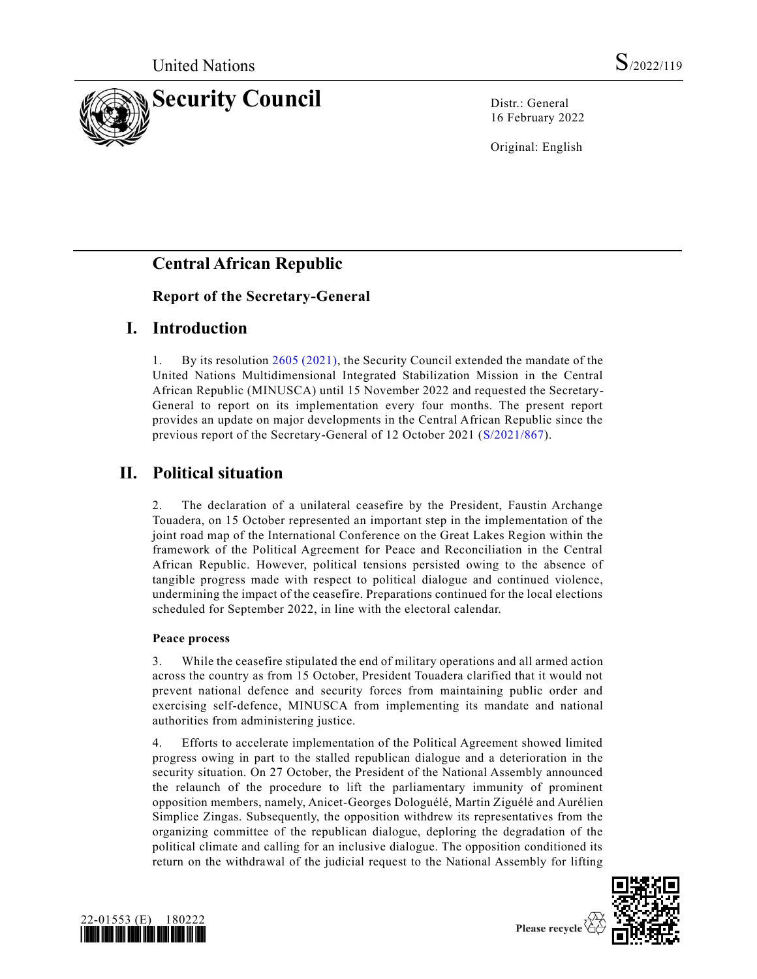

16 February 2022

Original: English

# **Central African Republic**

### **Report of the Secretary-General**

## **I. Introduction**

1. By its resolution [2605 \(2021\),](https://undocs.org/en/S/RES/2605(2021)) the Security Council extended the mandate of the United Nations Multidimensional Integrated Stabilization Mission in the Central African Republic (MINUSCA) until 15 November 2022 and requested the Secretary-General to report on its implementation every four months. The present report provides an update on major developments in the Central African Republic since the previous report of the Secretary-General of 12 October 2021 [\(S/2021/867\)](https://undocs.org/en/S/2021/867).

## **II. Political situation**

2. The declaration of a unilateral ceasefire by the President, Faustin Archange Touadera, on 15 October represented an important step in the implementation of the joint road map of the International Conference on the Great Lakes Region within the framework of the Political Agreement for Peace and Reconciliation in the Central African Republic. However, political tensions persisted owing to the absence of tangible progress made with respect to political dialogue and continued violence, undermining the impact of the ceasefire. Preparations continued for the local elections scheduled for September 2022, in line with the electoral calendar.

#### **Peace process**

3. While the ceasefire stipulated the end of military operations and all armed action across the country as from 15 October, President Touadera clarified that it would not prevent national defence and security forces from maintaining public order and exercising self-defence, MINUSCA from implementing its mandate and national authorities from administering justice.

4. Efforts to accelerate implementation of the Political Agreement showed limited progress owing in part to the stalled republican dialogue and a deterioration in the security situation. On 27 October, the President of the National Assembly announced the relaunch of the procedure to lift the parliamentary immunity of prominent opposition members, namely, Anicet-Georges Dologuélé, Martin Ziguélé and Aurélien Simplice Zingas. Subsequently, the opposition withdrew its representatives from the organizing committee of the republican dialogue, deploring the degradation of the political climate and calling for an inclusive dialogue. The opposition conditioned its return on the withdrawal of the judicial request to the National Assembly for lifting



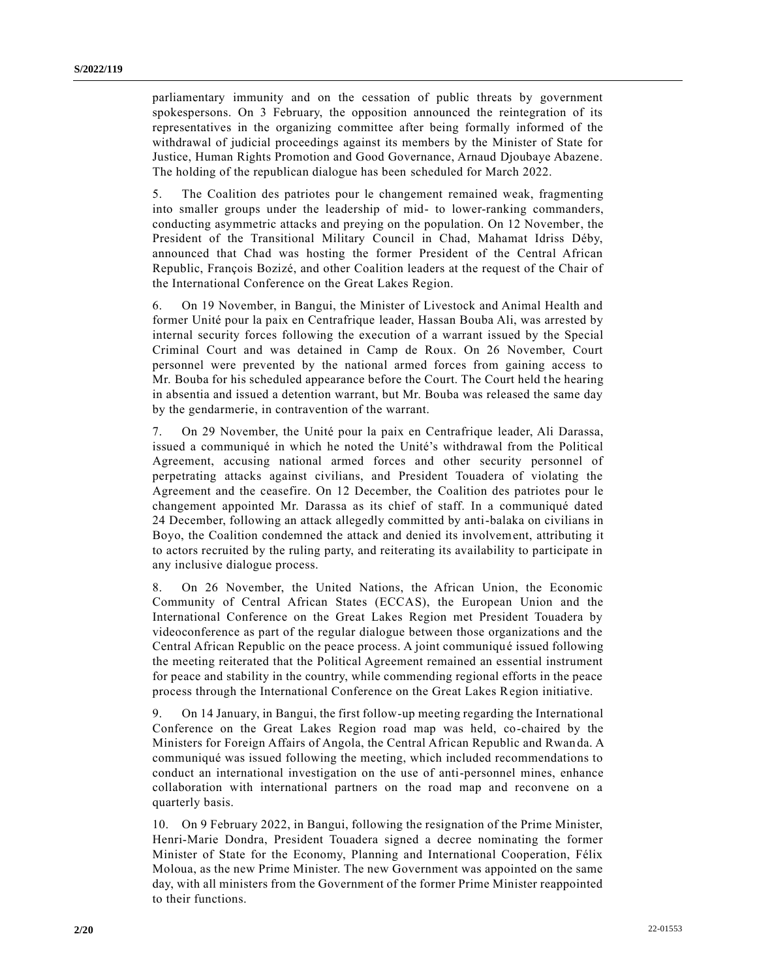parliamentary immunity and on the cessation of public threats by government spokespersons. On 3 February, the opposition announced the reintegration of its representatives in the organizing committee after being formally informed of the withdrawal of judicial proceedings against its members by the Minister of State for Justice, Human Rights Promotion and Good Governance, Arnaud Djoubaye Abazene. The holding of the republican dialogue has been scheduled for March 2022.

5. The Coalition des patriotes pour le changement remained weak, fragmenting into smaller groups under the leadership of mid- to lower-ranking commanders, conducting asymmetric attacks and preying on the population. On 12 November, the President of the Transitional Military Council in Chad, Mahamat Idriss Déby, announced that Chad was hosting the former President of the Central African Republic, François Bozizé, and other Coalition leaders at the request of the Chair of the International Conference on the Great Lakes Region.

6. On 19 November, in Bangui, the Minister of Livestock and Animal Health and former Unité pour la paix en Centrafrique leader, Hassan Bouba Ali, was arrested by internal security forces following the execution of a warrant issued by the Special Criminal Court and was detained in Camp de Roux. On 26 November, Court personnel were prevented by the national armed forces from gaining access to Mr. Bouba for his scheduled appearance before the Court. The Court held the hearing in absentia and issued a detention warrant, but Mr. Bouba was released the same day by the gendarmerie, in contravention of the warrant.

7. On 29 November, the Unité pour la paix en Centrafrique leader, Ali Darassa, issued a communiqué in which he noted the Unité's withdrawal from the Political Agreement, accusing national armed forces and other security personnel of perpetrating attacks against civilians, and President Touadera of violating the Agreement and the ceasefire. On 12 December, the Coalition des patriotes pour le changement appointed Mr. Darassa as its chief of staff. In a communiqué dated 24 December, following an attack allegedly committed by anti-balaka on civilians in Boyo, the Coalition condemned the attack and denied its involvement, attributing it to actors recruited by the ruling party, and reiterating its availability to participate in any inclusive dialogue process.

8. On 26 November, the United Nations, the African Union, the Economic Community of Central African States (ECCAS), the European Union and the International Conference on the Great Lakes Region met President Touadera by videoconference as part of the regular dialogue between those organizations and the Central African Republic on the peace process. A joint communiqué issued following the meeting reiterated that the Political Agreement remained an essential instrument for peace and stability in the country, while commending regional efforts in the peace process through the International Conference on the Great Lakes Region initiative.

9. On 14 January, in Bangui, the first follow-up meeting regarding the International Conference on the Great Lakes Region road map was held, co-chaired by the Ministers for Foreign Affairs of Angola, the Central African Republic and Rwan da. A communiqué was issued following the meeting, which included recommendations to conduct an international investigation on the use of anti-personnel mines, enhance collaboration with international partners on the road map and reconvene on a quarterly basis.

10. On 9 February 2022, in Bangui, following the resignation of the Prime Minister, Henri-Marie Dondra, President Touadera signed a decree nominating the former Minister of State for the Economy, Planning and International Cooperation, Félix Moloua, as the new Prime Minister. The new Government was appointed on the same day, with all ministers from the Government of the former Prime Minister reappointed to their functions.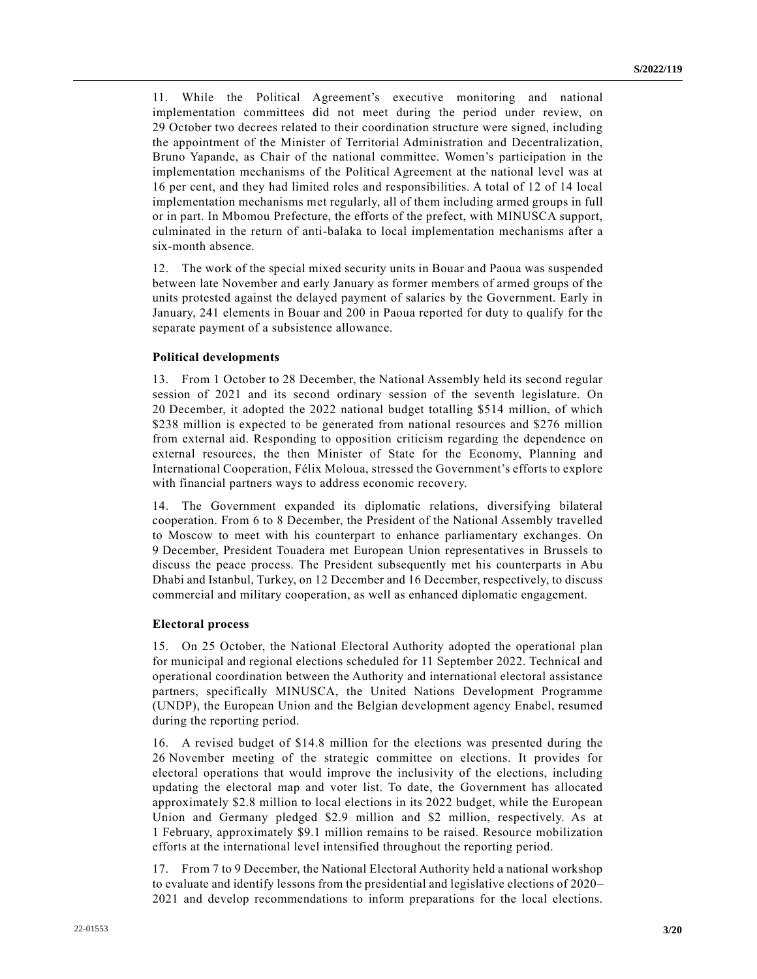11. While the Political Agreement's executive monitoring and national implementation committees did not meet during the period under review, on 29 October two decrees related to their coordination structure were signed, including the appointment of the Minister of Territorial Administration and Decentralization, Bruno Yapande, as Chair of the national committee. Women's participation in the implementation mechanisms of the Political Agreement at the national level was at 16 per cent, and they had limited roles and responsibilities. A total of 12 of 14 local implementation mechanisms met regularly, all of them including armed groups in full or in part. In Mbomou Prefecture, the efforts of the prefect, with MINUSCA support, culminated in the return of anti-balaka to local implementation mechanisms after a six-month absence.

12. The work of the special mixed security units in Bouar and Paoua was suspended between late November and early January as former members of armed groups of the units protested against the delayed payment of salaries by the Government. Early in January, 241 elements in Bouar and 200 in Paoua reported for duty to qualify for the separate payment of a subsistence allowance.

#### **Political developments**

13. From 1 October to 28 December, the National Assembly held its second regular session of 2021 and its second ordinary session of the seventh legislature. On 20 December, it adopted the 2022 national budget totalling \$514 million, of which \$238 million is expected to be generated from national resources and \$276 million from external aid. Responding to opposition criticism regarding the dependence on external resources, the then Minister of State for the Economy, Planning and International Cooperation, Félix Moloua, stressed the Government's efforts to explore with financial partners ways to address economic recovery.

14. The Government expanded its diplomatic relations, diversifying bilateral cooperation. From 6 to 8 December, the President of the National Assembly travelled to Moscow to meet with his counterpart to enhance parliamentary exchanges. On 9 December, President Touadera met European Union representatives in Brussels to discuss the peace process. The President subsequently met his counterparts in Abu Dhabi and Istanbul, Turkey, on 12 December and 16 December, respectively, to discuss commercial and military cooperation, as well as enhanced diplomatic engagement.

#### **Electoral process**

15. On 25 October, the National Electoral Authority adopted the operational plan for municipal and regional elections scheduled for 11 September 2022. Technical and operational coordination between the Authority and international electoral assistance partners, specifically MINUSCA, the United Nations Development Programme (UNDP), the European Union and the Belgian development agency Enabel, resumed during the reporting period.

16. A revised budget of \$14.8 million for the elections was presented during the 26 November meeting of the strategic committee on elections. It provides for electoral operations that would improve the inclusivity of the elections, including updating the electoral map and voter list. To date, the Government has allocated approximately \$2.8 million to local elections in its 2022 budget, while the European Union and Germany pledged \$2.9 million and \$2 million, respectively. As at 1 February, approximately \$9.1 million remains to be raised. Resource mobilization efforts at the international level intensified throughout the reporting period.

17. From 7 to 9 December, the National Electoral Authority held a national workshop to evaluate and identify lessons from the presidential and legislative elections of 2020– 2021 and develop recommendations to inform preparations for the local elections.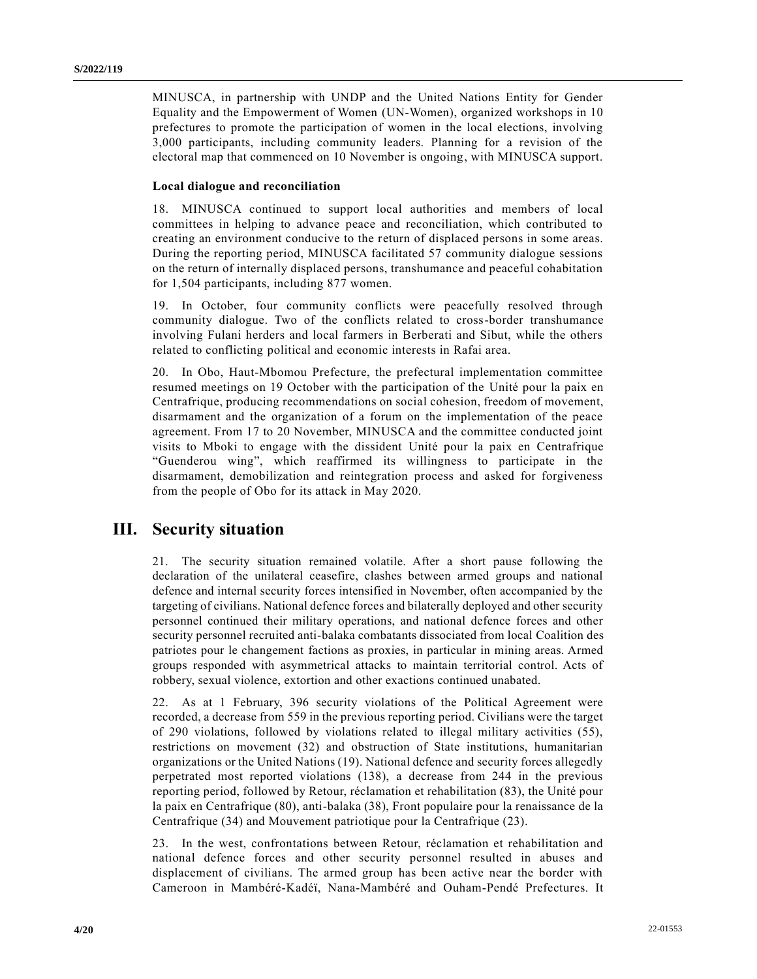MINUSCA, in partnership with UNDP and the United Nations Entity for Gender Equality and the Empowerment of Women (UN-Women), organized workshops in 10 prefectures to promote the participation of women in the local elections, involving 3,000 participants, including community leaders. Planning for a revision of the electoral map that commenced on 10 November is ongoing, with MINUSCA support.

#### **Local dialogue and reconciliation**

18. MINUSCA continued to support local authorities and members of local committees in helping to advance peace and reconciliation, which contributed to creating an environment conducive to the return of displaced persons in some areas. During the reporting period, MINUSCA facilitated 57 community dialogue sessions on the return of internally displaced persons, transhumance and peaceful cohabitation for 1,504 participants, including 877 women.

19. In October, four community conflicts were peacefully resolved through community dialogue. Two of the conflicts related to cross-border transhumance involving Fulani herders and local farmers in Berberati and Sibut, while the others related to conflicting political and economic interests in Rafai area.

20. In Obo, Haut-Mbomou Prefecture, the prefectural implementation committee resumed meetings on 19 October with the participation of the Unité pour la paix en Centrafrique, producing recommendations on social cohesion, freedom of movement, disarmament and the organization of a forum on the implementation of the peace agreement. From 17 to 20 November, MINUSCA and the committee conducted joint visits to Mboki to engage with the dissident Unité pour la paix en Centrafrique "Guenderou wing", which reaffirmed its willingness to participate in the disarmament, demobilization and reintegration process and asked for forgiveness from the people of Obo for its attack in May 2020.

### **III. Security situation**

21. The security situation remained volatile. After a short pause following the declaration of the unilateral ceasefire, clashes between armed groups and national defence and internal security forces intensified in November, often accompanied by the targeting of civilians. National defence forces and bilaterally deployed and other security personnel continued their military operations, and national defence forces and other security personnel recruited anti-balaka combatants dissociated from local Coalition des patriotes pour le changement factions as proxies, in particular in mining areas. Armed groups responded with asymmetrical attacks to maintain territorial control. Acts of robbery, sexual violence, extortion and other exactions continued unabated.

22. As at 1 February, 396 security violations of the Political Agreement were recorded, a decrease from 559 in the previous reporting period. Civilians were the target of 290 violations, followed by violations related to illegal military activities (55), restrictions on movement (32) and obstruction of State institutions, humanitarian organizations or the United Nations (19). National defence and security forces allegedly perpetrated most reported violations (138), a decrease from 244 in the previous reporting period, followed by Retour, réclamation et rehabilitation (83), the Unité pour la paix en Centrafrique (80), anti-balaka (38), Front populaire pour la renaissance de la Centrafrique (34) and Mouvement patriotique pour la Centrafrique (23).

23. In the west, confrontations between Retour, réclamation et rehabilitation and national defence forces and other security personnel resulted in abuses and displacement of civilians. The armed group has been active near the border with Cameroon in Mambéré-Kadéï, Nana-Mambéré and Ouham-Pendé Prefectures. It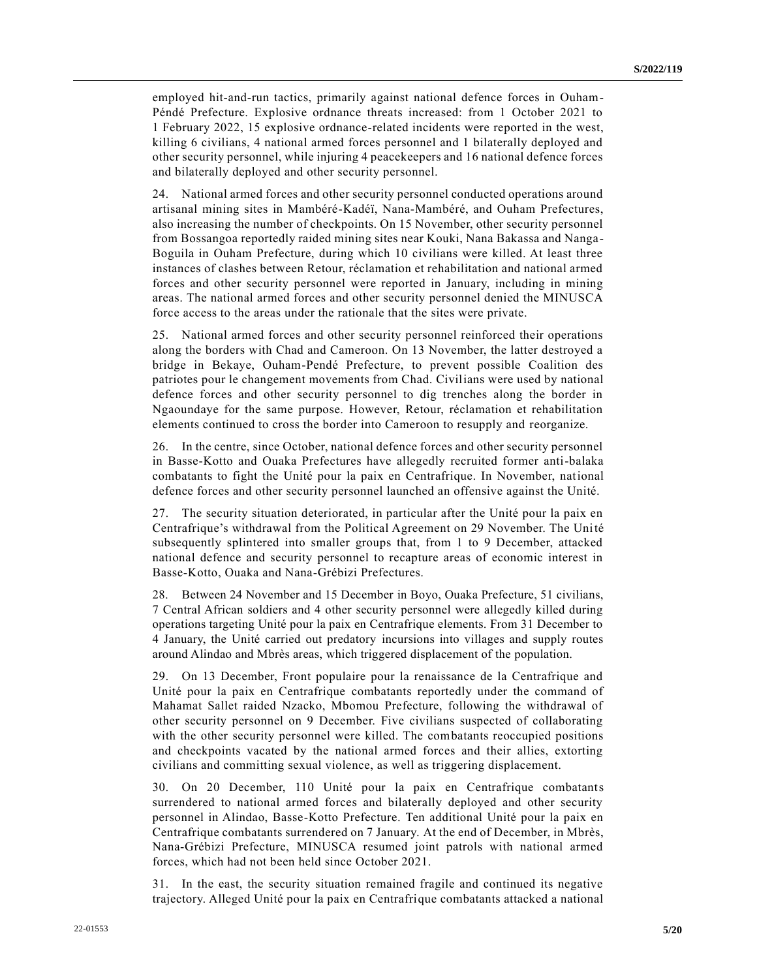employed hit-and-run tactics, primarily against national defence forces in Ouham-Péndé Prefecture. Explosive ordnance threats increased: from 1 October 2021 to 1 February 2022, 15 explosive ordnance-related incidents were reported in the west, killing 6 civilians, 4 national armed forces personnel and 1 bilaterally deployed and other security personnel, while injuring 4 peacekeepers and 16 national defence forces and bilaterally deployed and other security personnel.

24. National armed forces and other security personnel conducted operations around artisanal mining sites in Mambéré-Kadéï, Nana-Mambéré, and Ouham Prefectures, also increasing the number of checkpoints. On 15 November, other security personnel from Bossangoa reportedly raided mining sites near Kouki, Nana Bakassa and Nanga-Boguila in Ouham Prefecture, during which 10 civilians were killed. At least three instances of clashes between Retour, réclamation et rehabilitation and national armed forces and other security personnel were reported in January, including in mining areas. The national armed forces and other security personnel denied the MINUSCA force access to the areas under the rationale that the sites were private.

25. National armed forces and other security personnel reinforced their operations along the borders with Chad and Cameroon. On 13 November, the latter destroyed a bridge in Bekaye, Ouham-Pendé Prefecture, to prevent possible Coalition des patriotes pour le changement movements from Chad. Civilians were used by national defence forces and other security personnel to dig trenches along the border in Ngaoundaye for the same purpose. However, Retour, réclamation et rehabilitation elements continued to cross the border into Cameroon to resupply and reorganize.

26. In the centre, since October, national defence forces and other security personnel in Basse-Kotto and Ouaka Prefectures have allegedly recruited former anti-balaka combatants to fight the Unité pour la paix en Centrafrique. In November, national defence forces and other security personnel launched an offensive against the Unité.

27. The security situation deteriorated, in particular after the Unité pour la paix en Centrafrique's withdrawal from the Political Agreement on 29 November. The Unité subsequently splintered into smaller groups that, from 1 to 9 December, attacked national defence and security personnel to recapture areas of economic interest in Basse-Kotto, Ouaka and Nana-Grébizi Prefectures.

28. Between 24 November and 15 December in Boyo, Ouaka Prefecture, 51 civilians, 7 Central African soldiers and 4 other security personnel were allegedly killed during operations targeting Unité pour la paix en Centrafrique elements. From 31 December to 4 January, the Unité carried out predatory incursions into villages and supply routes around Alindao and Mbrès areas, which triggered displacement of the population.

29. On 13 December, Front populaire pour la renaissance de la Centrafrique and Unité pour la paix en Centrafrique combatants reportedly under the command of Mahamat Sallet raided Nzacko, Mbomou Prefecture, following the withdrawal of other security personnel on 9 December. Five civilians suspected of collaborating with the other security personnel were killed. The combatants reoccupied positions and checkpoints vacated by the national armed forces and their allies, extorting civilians and committing sexual violence, as well as triggering displacement.

30. On 20 December, 110 Unité pour la paix en Centrafrique combatants surrendered to national armed forces and bilaterally deployed and other security personnel in Alindao, Basse-Kotto Prefecture. Ten additional Unité pour la paix en Centrafrique combatants surrendered on 7 January. At the end of December, in Mbrès, Nana-Grébizi Prefecture, MINUSCA resumed joint patrols with national armed forces, which had not been held since October 2021.

31. In the east, the security situation remained fragile and continued its negative trajectory. Alleged Unité pour la paix en Centrafrique combatants attacked a national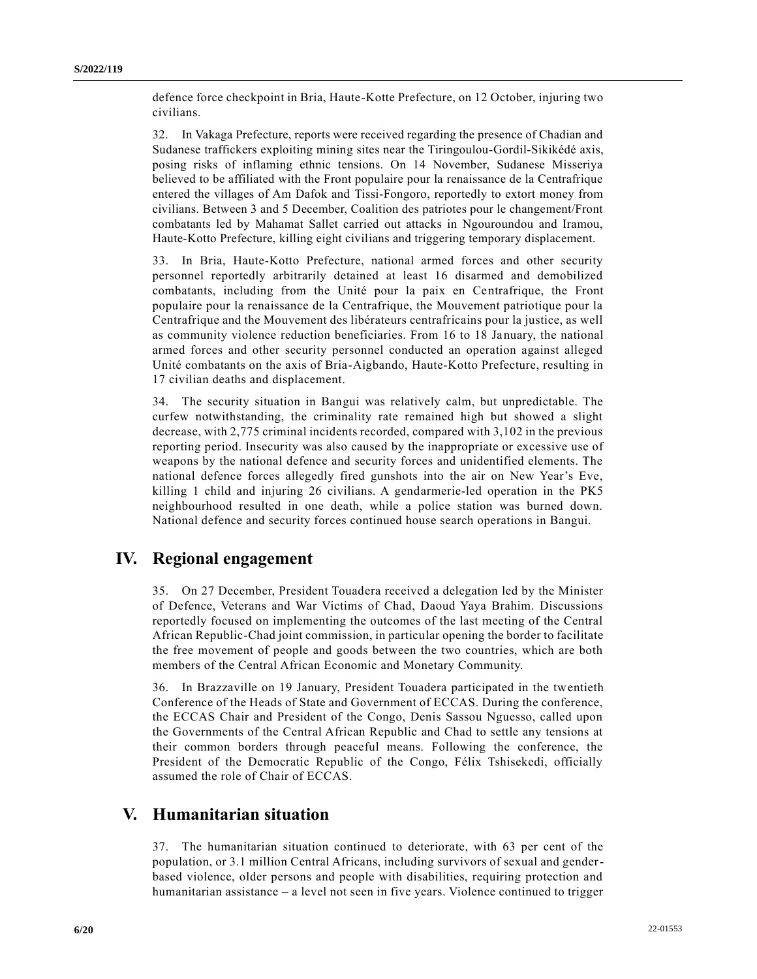defence force checkpoint in Bria, Haute-Kotte Prefecture, on 12 October, injuring two civilians.

32. In Vakaga Prefecture, reports were received regarding the presence of Chadian and Sudanese traffickers exploiting mining sites near the Tiringoulou-Gordil-Sikikédé axis, posing risks of inflaming ethnic tensions. On 14 November, Sudanese Misseriya believed to be affiliated with the Front populaire pour la renaissance de la Centrafrique entered the villages of Am Dafok and Tissi-Fongoro, reportedly to extort money from civilians. Between 3 and 5 December, Coalition des patriotes pour le changement/Front combatants led by Mahamat Sallet carried out attacks in Ngouroundou and Iramou, Haute-Kotto Prefecture, killing eight civilians and triggering temporary displacement.

33. In Bria, Haute-Kotto Prefecture, national armed forces and other security personnel reportedly arbitrarily detained at least 16 disarmed and demobilized combatants, including from the Unité pour la paix en Centrafrique, the Front populaire pour la renaissance de la Centrafrique, the Mouvement patriotique pour la Centrafrique and the Mouvement des libérateurs centrafricains pour la justice, as well as community violence reduction beneficiaries. From 16 to 18 January, the national armed forces and other security personnel conducted an operation against alleged Unité combatants on the axis of Bria-Aigbando, Haute-Kotto Prefecture, resulting in 17 civilian deaths and displacement.

34. The security situation in Bangui was relatively calm, but unpredictable. The curfew notwithstanding, the criminality rate remained high but showed a slight decrease, with 2,775 criminal incidents recorded, compared with 3,102 in the previous reporting period. Insecurity was also caused by the inappropriate or excessive use of weapons by the national defence and security forces and unidentified elements. The national defence forces allegedly fired gunshots into the air on New Year's Eve, killing 1 child and injuring 26 civilians. A gendarmerie-led operation in the PK5 neighbourhood resulted in one death, while a police station was burned down. National defence and security forces continued house search operations in Bangui.

## **IV. Regional engagement**

35. On 27 December, President Touadera received a delegation led by the Minister of Defence, Veterans and War Victims of Chad, Daoud Yaya Brahim. Discussions reportedly focused on implementing the outcomes of the last meeting of the Central African Republic-Chad joint commission, in particular opening the border to facilitate the free movement of people and goods between the two countries, which are both members of the Central African Economic and Monetary Community.

36. In Brazzaville on 19 January, President Touadera participated in the twentieth Conference of the Heads of State and Government of ECCAS. During the conference, the ECCAS Chair and President of the Congo, Denis Sassou Nguesso, called upon the Governments of the Central African Republic and Chad to settle any tensions at their common borders through peaceful means. Following the conference, the President of the Democratic Republic of the Congo, Félix Tshisekedi, officially assumed the role of Chair of ECCAS.

### **V. Humanitarian situation**

37. The humanitarian situation continued to deteriorate, with 63 per cent of the population, or 3.1 million Central Africans, including survivors of sexual and genderbased violence, older persons and people with disabilities, requiring protection and humanitarian assistance – a level not seen in five years. Violence continued to trigger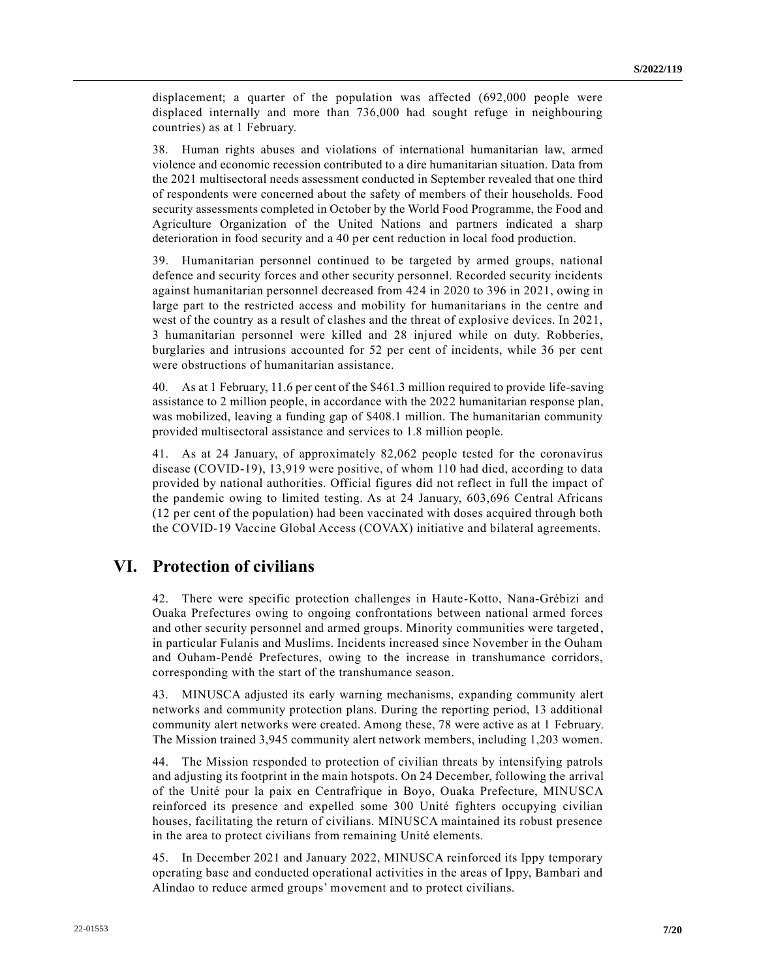displacement; a quarter of the population was affected (692,000 people were displaced internally and more than 736,000 had sought refuge in neighbouring countries) as at 1 February.

38. Human rights abuses and violations of international humanitarian law, armed violence and economic recession contributed to a dire humanitarian situation. Data from the 2021 multisectoral needs assessment conducted in September revealed that one third of respondents were concerned about the safety of members of their households. Food security assessments completed in October by the World Food Programme, the Food and Agriculture Organization of the United Nations and partners indicated a sharp deterioration in food security and a 40 per cent reduction in local food production.

39. Humanitarian personnel continued to be targeted by armed groups, national defence and security forces and other security personnel. Recorded security incidents against humanitarian personnel decreased from 424 in 2020 to 396 in 2021, owing in large part to the restricted access and mobility for humanitarians in the centre and west of the country as a result of clashes and the threat of explosive devices. In 2021, 3 humanitarian personnel were killed and 28 injured while on duty. Robberies, burglaries and intrusions accounted for 52 per cent of incidents, while 36 per cent were obstructions of humanitarian assistance.

40. As at 1 February, 11.6 per cent of the \$461.3 million required to provide life-saving assistance to 2 million people, in accordance with the 2022 humanitarian response plan, was mobilized, leaving a funding gap of \$408.1 million. The humanitarian community provided multisectoral assistance and services to 1.8 million people.

41. As at 24 January, of approximately 82,062 people tested for the coronavirus disease (COVID-19), 13,919 were positive, of whom 110 had died, according to data provided by national authorities. Official figures did not reflect in full the impact of the pandemic owing to limited testing. As at 24 January, 603,696 Central Africans (12 per cent of the population) had been vaccinated with doses acquired through both the COVID-19 Vaccine Global Access (COVAX) initiative and bilateral agreements.

# **VI. Protection of civilians**

42. There were specific protection challenges in Haute-Kotto, Nana-Grébizi and Ouaka Prefectures owing to ongoing confrontations between national armed forces and other security personnel and armed groups. Minority communities were targeted , in particular Fulanis and Muslims. Incidents increased since November in the Ouham and Ouham-Pendé Prefectures, owing to the increase in transhumance corridors, corresponding with the start of the transhumance season.

43. MINUSCA adjusted its early warning mechanisms, expanding community alert networks and community protection plans. During the reporting period, 13 additional community alert networks were created. Among these, 78 were active as at 1 February. The Mission trained 3,945 community alert network members, including 1,203 women.

44. The Mission responded to protection of civilian threats by intensifying patrols and adjusting its footprint in the main hotspots. On 24 December, following the arrival of the Unité pour la paix en Centrafrique in Boyo, Ouaka Prefecture, MINUSCA reinforced its presence and expelled some 300 Unité fighters occupying civilian houses, facilitating the return of civilians. MINUSCA maintained its robust presence in the area to protect civilians from remaining Unité elements.

45. In December 2021 and January 2022, MINUSCA reinforced its Ippy temporary operating base and conducted operational activities in the areas of Ippy, Bambari and Alindao to reduce armed groups' movement and to protect civilians.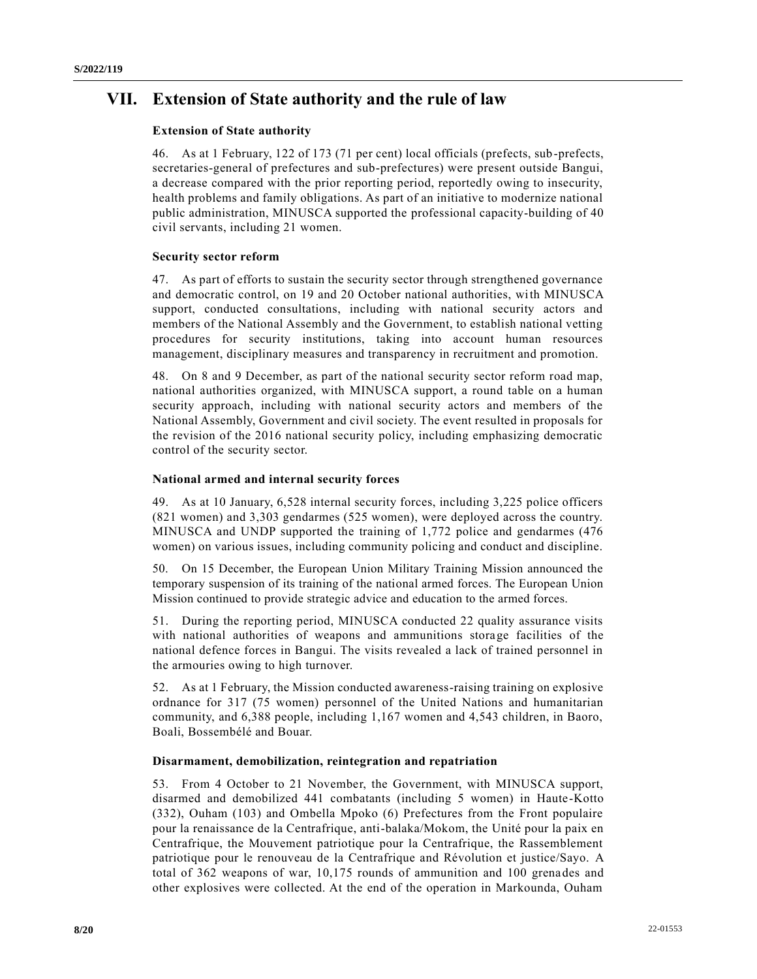# **VII. Extension of State authority and the rule of law**

#### **Extension of State authority**

46. As at 1 February, 122 of 173 (71 per cent) local officials (prefects, sub-prefects, secretaries-general of prefectures and sub-prefectures) were present outside Bangui, a decrease compared with the prior reporting period, reportedly owing to insecurity, health problems and family obligations. As part of an initiative to modernize national public administration, MINUSCA supported the professional capacity-building of 40 civil servants, including 21 women.

#### **Security sector reform**

47. As part of efforts to sustain the security sector through strengthened governance and democratic control, on 19 and 20 October national authorities, with MINUSCA support, conducted consultations, including with national security actors and members of the National Assembly and the Government, to establish national vetting procedures for security institutions, taking into account human resources management, disciplinary measures and transparency in recruitment and promotion.

48. On 8 and 9 December, as part of the national security sector reform road map, national authorities organized, with MINUSCA support, a round table on a human security approach, including with national security actors and members of the National Assembly, Government and civil society. The event resulted in proposals for the revision of the 2016 national security policy, including emphasizing democratic control of the security sector.

#### **National armed and internal security forces**

49. As at 10 January, 6,528 internal security forces, including 3,225 police officers (821 women) and 3,303 gendarmes (525 women), were deployed across the country. MINUSCA and UNDP supported the training of 1,772 police and gendarmes (476 women) on various issues, including community policing and conduct and discipline.

50. On 15 December, the European Union Military Training Mission announced the temporary suspension of its training of the national armed forces. The European Union Mission continued to provide strategic advice and education to the armed forces.

51. During the reporting period, MINUSCA conducted 22 quality assurance visits with national authorities of weapons and ammunitions storage facilities of the national defence forces in Bangui. The visits revealed a lack of trained personnel in the armouries owing to high turnover.

52. As at 1 February, the Mission conducted awareness-raising training on explosive ordnance for 317 (75 women) personnel of the United Nations and humanitarian community, and 6,388 people, including 1,167 women and 4,543 children, in Baoro, Boali, Bossembélé and Bouar.

#### **Disarmament, demobilization, reintegration and repatriation**

53. From 4 October to 21 November, the Government, with MINUSCA support, disarmed and demobilized 441 combatants (including 5 women) in Haute-Kotto (332), Ouham (103) and Ombella Mpoko (6) Prefectures from the Front populaire pour la renaissance de la Centrafrique, anti-balaka/Mokom, the Unité pour la paix en Centrafrique, the Mouvement patriotique pour la Centrafrique, the Rassemblement patriotique pour le renouveau de la Centrafrique and Révolution et justice/Sayo. A total of 362 weapons of war, 10,175 rounds of ammunition and 100 grenades and other explosives were collected. At the end of the operation in Markounda, Ouham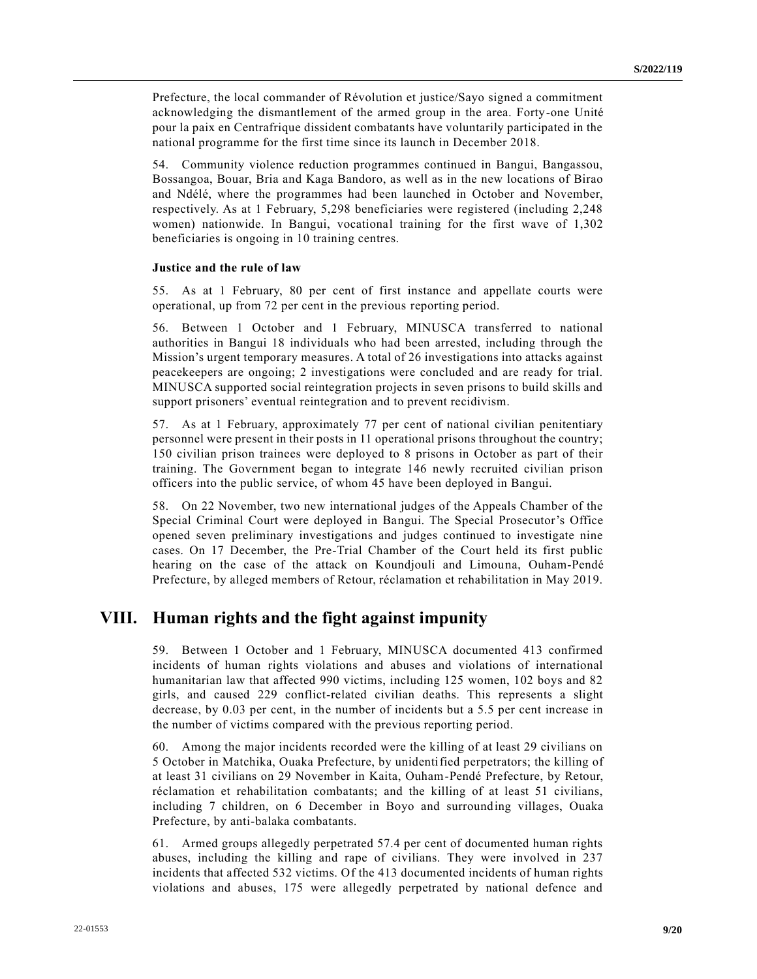Prefecture, the local commander of Révolution et justice/Sayo signed a commitment acknowledging the dismantlement of the armed group in the area. Forty-one Unité pour la paix en Centrafrique dissident combatants have voluntarily participated in the national programme for the first time since its launch in December 2018.

54. Community violence reduction programmes continued in Bangui, Bangassou, Bossangoa, Bouar, Bria and Kaga Bandoro, as well as in the new locations of Birao and Ndélé, where the programmes had been launched in October and November, respectively. As at 1 February, 5,298 beneficiaries were registered (including 2,248 women) nationwide. In Bangui, vocational training for the first wave of 1,302 beneficiaries is ongoing in 10 training centres.

#### **Justice and the rule of law**

55. As at 1 February, 80 per cent of first instance and appellate courts were operational, up from 72 per cent in the previous reporting period.

56. Between 1 October and 1 February, MINUSCA transferred to national authorities in Bangui 18 individuals who had been arrested, including through the Mission's urgent temporary measures. A total of 26 investigations into attacks against peacekeepers are ongoing; 2 investigations were concluded and are ready for trial. MINUSCA supported social reintegration projects in seven prisons to build skills and support prisoners' eventual reintegration and to prevent recidivism.

57. As at 1 February, approximately 77 per cent of national civilian penitentiary personnel were present in their posts in 11 operational prisons throughout the country; 150 civilian prison trainees were deployed to 8 prisons in October as part of their training. The Government began to integrate 146 newly recruited civilian prison officers into the public service, of whom 45 have been deployed in Bangui.

58. On 22 November, two new international judges of the Appeals Chamber of the Special Criminal Court were deployed in Bangui. The Special Prosecutor's Office opened seven preliminary investigations and judges continued to investigate nine cases. On 17 December, the Pre-Trial Chamber of the Court held its first public hearing on the case of the attack on Koundjouli and Limouna, Ouham-Pendé Prefecture, by alleged members of Retour, réclamation et rehabilitation in May 2019.

## **VIII. Human rights and the fight against impunity**

59. Between 1 October and 1 February, MINUSCA documented 413 confirmed incidents of human rights violations and abuses and violations of international humanitarian law that affected 990 victims, including 125 women, 102 boys and 82 girls, and caused 229 conflict-related civilian deaths. This represents a slight decrease, by 0.03 per cent, in the number of incidents but a 5.5 per cent increase in the number of victims compared with the previous reporting period.

60. Among the major incidents recorded were the killing of at least 29 civilians on 5 October in Matchika, Ouaka Prefecture, by unidentified perpetrators; the killing of at least 31 civilians on 29 November in Kaita, Ouham-Pendé Prefecture, by Retour, réclamation et rehabilitation combatants; and the killing of at least 51 civilians, including 7 children, on 6 December in Boyo and surrounding villages, Ouaka Prefecture, by anti-balaka combatants.

61. Armed groups allegedly perpetrated 57.4 per cent of documented human rights abuses, including the killing and rape of civilians. They were involved in 237 incidents that affected 532 victims. Of the 413 documented incidents of human rights violations and abuses, 175 were allegedly perpetrated by national defence and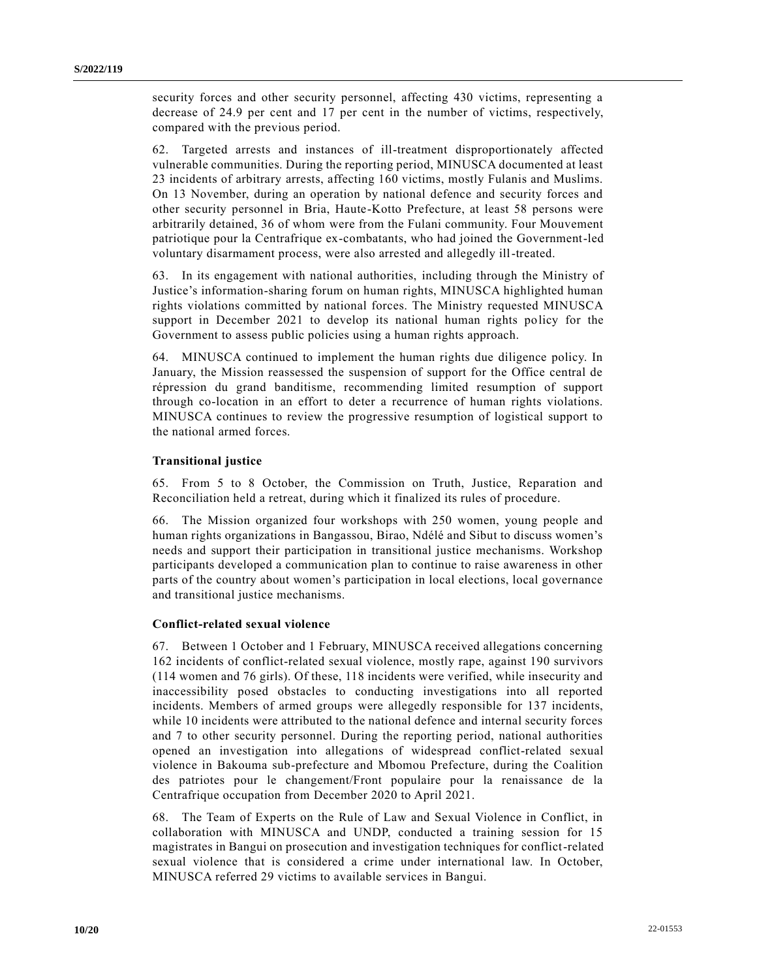security forces and other security personnel, affecting 430 victims, representing a decrease of 24.9 per cent and 17 per cent in the number of victims, respectively, compared with the previous period.

62. Targeted arrests and instances of ill-treatment disproportionately affected vulnerable communities. During the reporting period, MINUSCA documented at least 23 incidents of arbitrary arrests, affecting 160 victims, mostly Fulanis and Muslims. On 13 November, during an operation by national defence and security forces and other security personnel in Bria, Haute-Kotto Prefecture, at least 58 persons were arbitrarily detained, 36 of whom were from the Fulani community. Four Mouvement patriotique pour la Centrafrique ex-combatants, who had joined the Government-led voluntary disarmament process, were also arrested and allegedly ill-treated.

63. In its engagement with national authorities, including through the Ministry of Justice's information-sharing forum on human rights, MINUSCA highlighted human rights violations committed by national forces. The Ministry requested MINUSCA support in December 2021 to develop its national human rights policy for the Government to assess public policies using a human rights approach.

64. MINUSCA continued to implement the human rights due diligence policy. In January, the Mission reassessed the suspension of support for the Office central de répression du grand banditisme, recommending limited resumption of support through co-location in an effort to deter a recurrence of human rights violations. MINUSCA continues to review the progressive resumption of logistical support to the national armed forces.

#### **Transitional justice**

65. From 5 to 8 October, the Commission on Truth, Justice, Reparation and Reconciliation held a retreat, during which it finalized its rules of procedure.

66. The Mission organized four workshops with 250 women, young people and human rights organizations in Bangassou, Birao, Ndélé and Sibut to discuss women's needs and support their participation in transitional justice mechanisms. Workshop participants developed a communication plan to continue to raise awareness in other parts of the country about women's participation in local elections, local governance and transitional justice mechanisms.

#### **Conflict-related sexual violence**

67. Between 1 October and 1 February, MINUSCA received allegations concerning 162 incidents of conflict-related sexual violence, mostly rape, against 190 survivors (114 women and 76 girls). Of these, 118 incidents were verified, while insecurity and inaccessibility posed obstacles to conducting investigations into all reported incidents. Members of armed groups were allegedly responsible for 137 incidents, while 10 incidents were attributed to the national defence and internal security forces and 7 to other security personnel. During the reporting period, national authorities opened an investigation into allegations of widespread conflict-related sexual violence in Bakouma sub-prefecture and Mbomou Prefecture, during the Coalition des patriotes pour le changement/Front populaire pour la renaissance de la Centrafrique occupation from December 2020 to April 2021.

68. The Team of Experts on the Rule of Law and Sexual Violence in Conflict, in collaboration with MINUSCA and UNDP, conducted a training session for 15 magistrates in Bangui on prosecution and investigation techniques for conflict-related sexual violence that is considered a crime under international law. In October, MINUSCA referred 29 victims to available services in Bangui.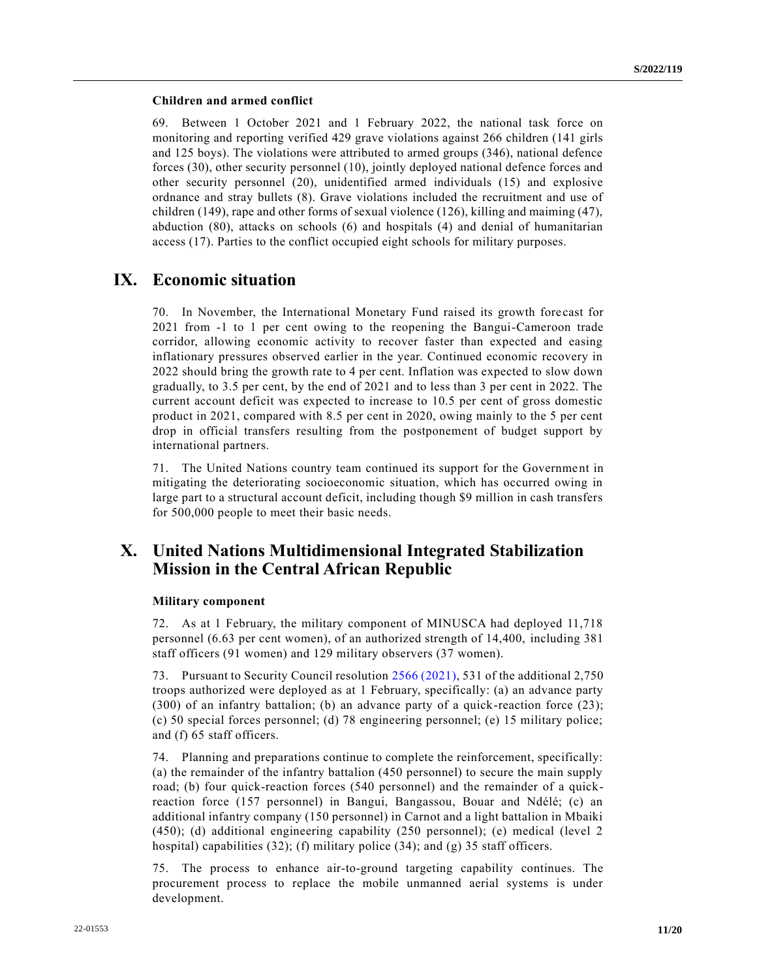#### **Children and armed conflict**

69. Between 1 October 2021 and 1 February 2022, the national task force on monitoring and reporting verified 429 grave violations against 266 children (141 girls and 125 boys). The violations were attributed to armed groups (346), national defence forces (30), other security personnel (10), jointly deployed national defence forces and other security personnel (20), unidentified armed individuals (15) and explosive ordnance and stray bullets (8). Grave violations included the recruitment and use of children (149), rape and other forms of sexual violence (126), killing and maiming (47), abduction (80), attacks on schools (6) and hospitals (4) and denial of humanitarian access (17). Parties to the conflict occupied eight schools for military purposes.

## **IX. Economic situation**

70. In November, the International Monetary Fund raised its growth fore cast for 2021 from -1 to 1 per cent owing to the reopening the Bangui-Cameroon trade corridor, allowing economic activity to recover faster than expected and easing inflationary pressures observed earlier in the year. Continued economic recovery in 2022 should bring the growth rate to 4 per cent. Inflation was expected to slow down gradually, to 3.5 per cent, by the end of 2021 and to less than 3 per cent in 2022. The current account deficit was expected to increase to 10.5 per cent of gross domestic product in 2021, compared with 8.5 per cent in 2020, owing mainly to the 5 per cent drop in official transfers resulting from the postponement of budget support by international partners.

71. The United Nations country team continued its support for the Government in mitigating the deteriorating socioeconomic situation, which has occurred owing in large part to a structural account deficit, including though \$9 million in cash transfers for 500,000 people to meet their basic needs.

## **X. United Nations Multidimensional Integrated Stabilization Mission in the Central African Republic**

#### **Military component**

72. As at 1 February, the military component of MINUSCA had deployed 11,718 personnel (6.63 per cent women), of an authorized strength of 14,400, including 381 staff officers (91 women) and 129 military observers (37 women).

73. Pursuant to Security Council resolution [2566 \(2021\),](https://undocs.org/en/S/RES/2566(2021)) 531 of the additional 2,750 troops authorized were deployed as at 1 February, specifically: (a) an advance party (300) of an infantry battalion; (b) an advance party of a quick-reaction force (23); (c) 50 special forces personnel; (d) 78 engineering personnel; (e) 15 military police; and (f) 65 staff officers.

74. Planning and preparations continue to complete the reinforcement, specifically: (a) the remainder of the infantry battalion (450 personnel) to secure the main supply road; (b) four quick-reaction forces (540 personnel) and the remainder of a quickreaction force (157 personnel) in Bangui, Bangassou, Bouar and Ndélé; (c) an additional infantry company (150 personnel) in Carnot and a light battalion in Mbaiki (450); (d) additional engineering capability (250 personnel); (e) medical (level 2 hospital) capabilities (32); (f) military police (34); and (g) 35 staff officers.

75. The process to enhance air-to-ground targeting capability continues. The procurement process to replace the mobile unmanned aerial systems is under development.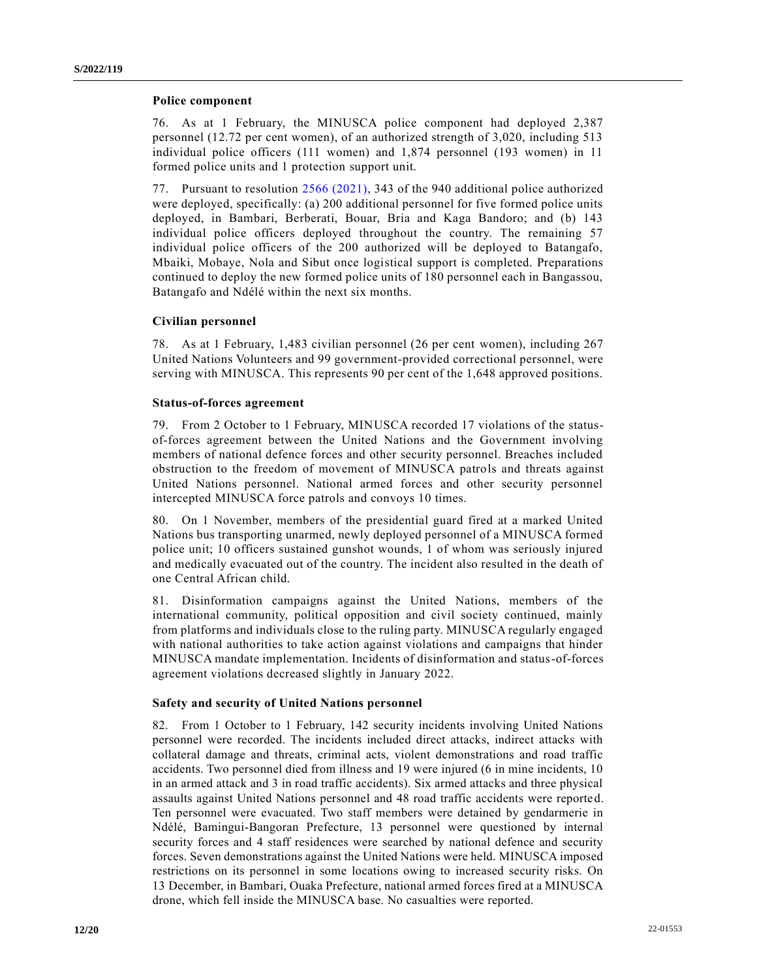#### **Police component**

76. As at 1 February, the MINUSCA police component had deployed 2,387 personnel (12.72 per cent women), of an authorized strength of 3,020, including 513 individual police officers (111 women) and 1,874 personnel (193 women) in 11 formed police units and 1 protection support unit.

77. Pursuant to resolution [2566 \(2021\),](https://undocs.org/en/S/RES/2566(2021)) 343 of the 940 additional police authorized were deployed, specifically: (a) 200 additional personnel for five formed police units deployed, in Bambari, Berberati, Bouar, Bria and Kaga Bandoro; and (b) 143 individual police officers deployed throughout the country. The remaining 57 individual police officers of the 200 authorized will be deployed to Batangafo, Mbaiki, Mobaye, Nola and Sibut once logistical support is completed. Preparations continued to deploy the new formed police units of 180 personnel each in Bangassou, Batangafo and Ndélé within the next six months.

#### **Civilian personnel**

78. As at 1 February, 1,483 civilian personnel (26 per cent women), including 267 United Nations Volunteers and 99 government-provided correctional personnel, were serving with MINUSCA. This represents 90 per cent of the 1,648 approved positions.

#### **Status-of-forces agreement**

79. From 2 October to 1 February, MINUSCA recorded 17 violations of the statusof-forces agreement between the United Nations and the Government involving members of national defence forces and other security personnel. Breaches included obstruction to the freedom of movement of MINUSCA patrols and threats against United Nations personnel. National armed forces and other security personnel intercepted MINUSCA force patrols and convoys 10 times.

80. On 1 November, members of the presidential guard fired at a marked United Nations bus transporting unarmed, newly deployed personnel of a MINUSCA formed police unit; 10 officers sustained gunshot wounds, 1 of whom was seriously injured and medically evacuated out of the country. The incident also resulted in the death of one Central African child.

81. Disinformation campaigns against the United Nations, members of the international community, political opposition and civil society continued, mainly from platforms and individuals close to the ruling party. MINUSCA regularly engaged with national authorities to take action against violations and campaigns that hinder MINUSCA mandate implementation. Incidents of disinformation and status-of-forces agreement violations decreased slightly in January 2022.

#### **Safety and security of United Nations personnel**

82. From 1 October to 1 February, 142 security incidents involving United Nations personnel were recorded. The incidents included direct attacks, indirect attacks with collateral damage and threats, criminal acts, violent demonstrations and road traffic accidents. Two personnel died from illness and 19 were injured (6 in mine incidents, 10 in an armed attack and 3 in road traffic accidents). Six armed attacks and three physical assaults against United Nations personnel and 48 road traffic accidents were reported. Ten personnel were evacuated. Two staff members were detained by gendarmerie in Ndélé, Bamingui-Bangoran Prefecture, 13 personnel were questioned by internal security forces and 4 staff residences were searched by national defence and security forces. Seven demonstrations against the United Nations were held. MINUSCA imposed restrictions on its personnel in some locations owing to increased security risks. On 13 December, in Bambari, Ouaka Prefecture, national armed forces fired at a MINUSCA drone, which fell inside the MINUSCA base. No casualties were reported.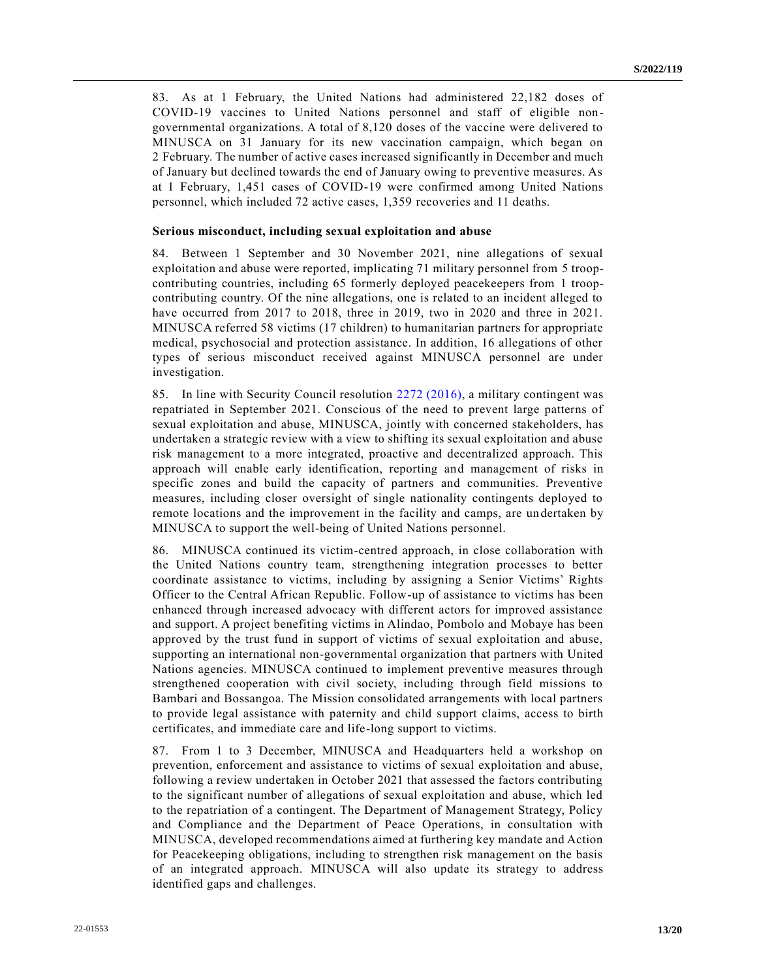83. As at 1 February, the United Nations had administered 22,182 doses of COVID-19 vaccines to United Nations personnel and staff of eligible nongovernmental organizations. A total of 8,120 doses of the vaccine were delivered to MINUSCA on 31 January for its new vaccination campaign, which began on 2 February. The number of active cases increased significantly in December and much of January but declined towards the end of January owing to preventive measures. As at 1 February, 1,451 cases of COVID-19 were confirmed among United Nations personnel, which included 72 active cases, 1,359 recoveries and 11 deaths.

#### **Serious misconduct, including sexual exploitation and abuse**

84. Between 1 September and 30 November 2021, nine allegations of sexual exploitation and abuse were reported, implicating 71 military personnel from 5 troopcontributing countries, including 65 formerly deployed peacekeepers from 1 troopcontributing country. Of the nine allegations, one is related to an incident alleged to have occurred from 2017 to 2018, three in 2019, two in 2020 and three in 2021. MINUSCA referred 58 victims (17 children) to humanitarian partners for appropriate medical, psychosocial and protection assistance. In addition, 16 allegations of other types of serious misconduct received against MINUSCA personnel are under investigation.

85. In line with Security Council resolution [2272 \(2016\),](https://undocs.org/en/S/RES/2272(2016)) a military contingent was repatriated in September 2021. Conscious of the need to prevent large patterns of sexual exploitation and abuse, MINUSCA, jointly with concerned stakeholders, has undertaken a strategic review with a view to shifting its sexual exploitation and abuse risk management to a more integrated, proactive and decentralized approach. This approach will enable early identification, reporting and management of risks in specific zones and build the capacity of partners and communities. Preventive measures, including closer oversight of single nationality contingents deployed to remote locations and the improvement in the facility and camps, are un dertaken by MINUSCA to support the well-being of United Nations personnel.

86. MINUSCA continued its victim-centred approach, in close collaboration with the United Nations country team, strengthening integration processes to better coordinate assistance to victims, including by assigning a Senior Victims' Rights Officer to the Central African Republic. Follow-up of assistance to victims has been enhanced through increased advocacy with different actors for improved assistance and support. A project benefiting victims in Alindao, Pombolo and Mobaye has been approved by the trust fund in support of victims of sexual exploitation and abuse, supporting an international non-governmental organization that partners with United Nations agencies. MINUSCA continued to implement preventive measures through strengthened cooperation with civil society, including through field missions to Bambari and Bossangoa. The Mission consolidated arrangements with local partners to provide legal assistance with paternity and child support claims, access to birth certificates, and immediate care and life-long support to victims.

87. From 1 to 3 December, MINUSCA and Headquarters held a workshop on prevention, enforcement and assistance to victims of sexual exploitation and abuse, following a review undertaken in October 2021 that assessed the factors contributing to the significant number of allegations of sexual exploitation and abuse, which led to the repatriation of a contingent. The Department of Management Strategy, Policy and Compliance and the Department of Peace Operations, in consultation with MINUSCA, developed recommendations aimed at furthering key mandate and Action for Peacekeeping obligations, including to strengthen risk management on the basis of an integrated approach. MINUSCA will also update its strategy to address identified gaps and challenges.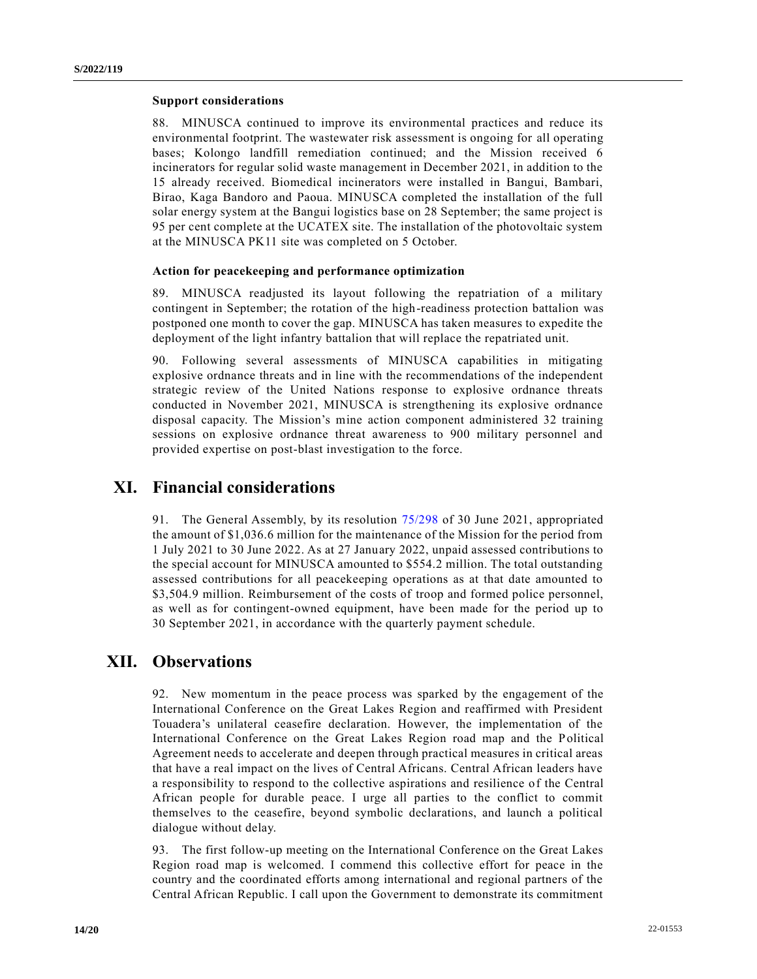#### **Support considerations**

88. MINUSCA continued to improve its environmental practices and reduce its environmental footprint. The wastewater risk assessment is ongoing for all operating bases; Kolongo landfill remediation continued; and the Mission received 6 incinerators for regular solid waste management in December 2021, in addition to the 15 already received. Biomedical incinerators were installed in Bangui, Bambari, Birao, Kaga Bandoro and Paoua. MINUSCA completed the installation of the full solar energy system at the Bangui logistics base on 28 September; the same project is 95 per cent complete at the UCATEX site. The installation of the photovoltaic system at the MINUSCA PK11 site was completed on 5 October.

#### **Action for peacekeeping and performance optimization**

89. MINUSCA readjusted its layout following the repatriation of a military contingent in September; the rotation of the high-readiness protection battalion was postponed one month to cover the gap. MINUSCA has taken measures to expedite the deployment of the light infantry battalion that will replace the repatriated unit.

90. Following several assessments of MINUSCA capabilities in mitigating explosive ordnance threats and in line with the recommendations of the independent strategic review of the United Nations response to explosive ordnance threats conducted in November 2021, MINUSCA is strengthening its explosive ordnance disposal capacity. The Mission's mine action component administered 32 training sessions on explosive ordnance threat awareness to 900 military personnel and provided expertise on post-blast investigation to the force.

### **XI. Financial considerations**

91. The General Assembly, by its resolution [75/298](https://undocs.org/en/A/RES/75/298) of 30 June 2021, appropriated the amount of \$1,036.6 million for the maintenance of the Mission for the period from 1 July 2021 to 30 June 2022. As at 27 January 2022, unpaid assessed contributions to the special account for MINUSCA amounted to \$554.2 million. The total outstanding assessed contributions for all peacekeeping operations as at that date amounted to \$3,504.9 million. Reimbursement of the costs of troop and formed police personnel, as well as for contingent-owned equipment, have been made for the period up to 30 September 2021, in accordance with the quarterly payment schedule.

## **XII. Observations**

92. New momentum in the peace process was sparked by the engagement of the International Conference on the Great Lakes Region and reaffirmed with President Touadera's unilateral ceasefire declaration. However, the implementation of the International Conference on the Great Lakes Region road map and the Political Agreement needs to accelerate and deepen through practical measures in critical areas that have a real impact on the lives of Central Africans. Central African leaders have a responsibility to respond to the collective aspirations and resilience of the Central African people for durable peace. I urge all parties to the conflict to commit themselves to the ceasefire, beyond symbolic declarations, and launch a political dialogue without delay.

93. The first follow-up meeting on the International Conference on the Great Lakes Region road map is welcomed. I commend this collective effort for peace in the country and the coordinated efforts among international and regional partners of the Central African Republic. I call upon the Government to demonstrate its commitment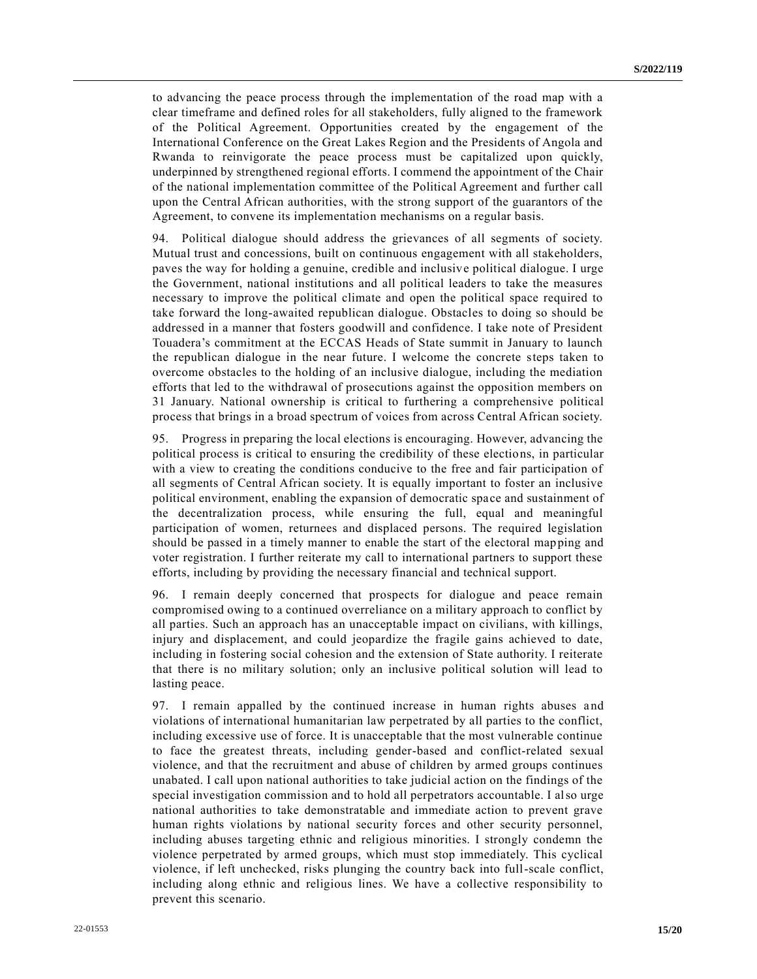to advancing the peace process through the implementation of the road map with a clear timeframe and defined roles for all stakeholders, fully aligned to the framework of the Political Agreement. Opportunities created by the engagement of the International Conference on the Great Lakes Region and the Presidents of Angola and Rwanda to reinvigorate the peace process must be capitalized upon quickly, underpinned by strengthened regional efforts. I commend the appointment of the Chair of the national implementation committee of the Political Agreement and further call upon the Central African authorities, with the strong support of the guarantors of the Agreement, to convene its implementation mechanisms on a regular basis.

94. Political dialogue should address the grievances of all segments of society. Mutual trust and concessions, built on continuous engagement with all stakeholders, paves the way for holding a genuine, credible and inclusive political dialogue. I urge the Government, national institutions and all political leaders to take the measures necessary to improve the political climate and open the political space required to take forward the long-awaited republican dialogue. Obstacles to doing so should be addressed in a manner that fosters goodwill and confidence. I take note of President Touadera's commitment at the ECCAS Heads of State summit in January to launch the republican dialogue in the near future. I welcome the concrete steps taken to overcome obstacles to the holding of an inclusive dialogue, including the mediation efforts that led to the withdrawal of prosecutions against the opposition members on 31 January. National ownership is critical to furthering a comprehensive political process that brings in a broad spectrum of voices from across Central African society.

95. Progress in preparing the local elections is encouraging. However, advancing the political process is critical to ensuring the credibility of these elections, in particular with a view to creating the conditions conducive to the free and fair participation of all segments of Central African society. It is equally important to foster an inclusive political environment, enabling the expansion of democratic space and sustainment of the decentralization process, while ensuring the full, equal and meaningful participation of women, returnees and displaced persons. The required legislation should be passed in a timely manner to enable the start of the electoral mapping and voter registration. I further reiterate my call to international partners to support these efforts, including by providing the necessary financial and technical support.

96. I remain deeply concerned that prospects for dialogue and peace remain compromised owing to a continued overreliance on a military approach to conflict by all parties. Such an approach has an unacceptable impact on civilians, with killings, injury and displacement, and could jeopardize the fragile gains achieved to date, including in fostering social cohesion and the extension of State authority. I reiterate that there is no military solution; only an inclusive political solution will lead to lasting peace.

97. I remain appalled by the continued increase in human rights abuses and violations of international humanitarian law perpetrated by all parties to the conflict, including excessive use of force. It is unacceptable that the most vulnerable continue to face the greatest threats, including gender-based and conflict-related sexual violence, and that the recruitment and abuse of children by armed groups continues unabated. I call upon national authorities to take judicial action on the findings of the special investigation commission and to hold all perpetrators accountable. I also urge national authorities to take demonstratable and immediate action to prevent grave human rights violations by national security forces and other security personnel, including abuses targeting ethnic and religious minorities. I strongly condemn the violence perpetrated by armed groups, which must stop immediately. This cyclical violence, if left unchecked, risks plunging the country back into full-scale conflict, including along ethnic and religious lines. We have a collective responsibility to prevent this scenario.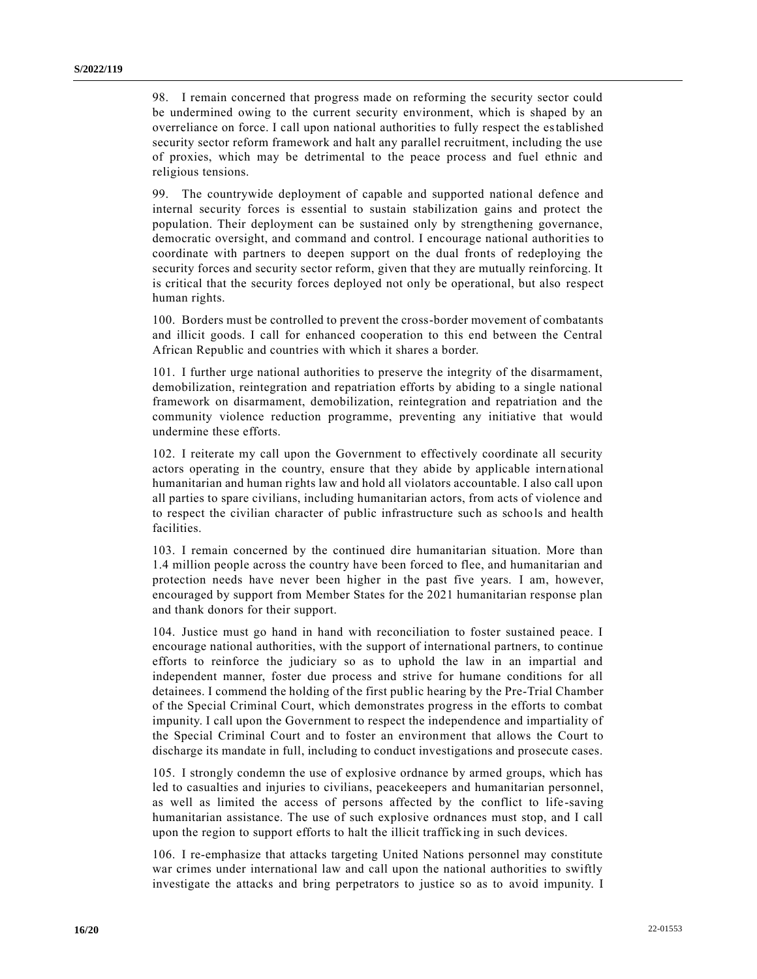98. I remain concerned that progress made on reforming the security sector could be undermined owing to the current security environment, which is shaped by an overreliance on force. I call upon national authorities to fully respect the established security sector reform framework and halt any parallel recruitment, including the use of proxies, which may be detrimental to the peace process and fuel ethnic and religious tensions.

99. The countrywide deployment of capable and supported national defence and internal security forces is essential to sustain stabilization gains and protect the population. Their deployment can be sustained only by strengthening governance, democratic oversight, and command and control. I encourage national authorities to coordinate with partners to deepen support on the dual fronts of redeploying the security forces and security sector reform, given that they are mutually reinforcing. It is critical that the security forces deployed not only be operational, but also respect human rights.

100. Borders must be controlled to prevent the cross-border movement of combatants and illicit goods. I call for enhanced cooperation to this end between the Central African Republic and countries with which it shares a border.

101. I further urge national authorities to preserve the integrity of the disarmament, demobilization, reintegration and repatriation efforts by abiding to a single national framework on disarmament, demobilization, reintegration and repatriation and the community violence reduction programme, preventing any initiative that would undermine these efforts.

102. I reiterate my call upon the Government to effectively coordinate all security actors operating in the country, ensure that they abide by applicable intern ational humanitarian and human rights law and hold all violators accountable. I also call upon all parties to spare civilians, including humanitarian actors, from acts of violence and to respect the civilian character of public infrastructure such as schools and health facilities.

103. I remain concerned by the continued dire humanitarian situation. More than 1.4 million people across the country have been forced to flee, and humanitarian and protection needs have never been higher in the past five years. I am, however, encouraged by support from Member States for the 2021 humanitarian response plan and thank donors for their support.

104. Justice must go hand in hand with reconciliation to foster sustained peace. I encourage national authorities, with the support of international partners, to continue efforts to reinforce the judiciary so as to uphold the law in an impartial and independent manner, foster due process and strive for humane conditions for all detainees. I commend the holding of the first public hearing by the Pre-Trial Chamber of the Special Criminal Court, which demonstrates progress in the efforts to combat impunity. I call upon the Government to respect the independence and impartiality of the Special Criminal Court and to foster an environment that allows the Court to discharge its mandate in full, including to conduct investigations and prosecute cases.

105. I strongly condemn the use of explosive ordnance by armed groups, which has led to casualties and injuries to civilians, peacekeepers and humanitarian personnel, as well as limited the access of persons affected by the conflict to life -saving humanitarian assistance. The use of such explosive ordnances must stop, and I call upon the region to support efforts to halt the illicit trafficking in such devices.

106. I re-emphasize that attacks targeting United Nations personnel may constitute war crimes under international law and call upon the national authorities to swiftly investigate the attacks and bring perpetrators to justice so as to avoid impunity. I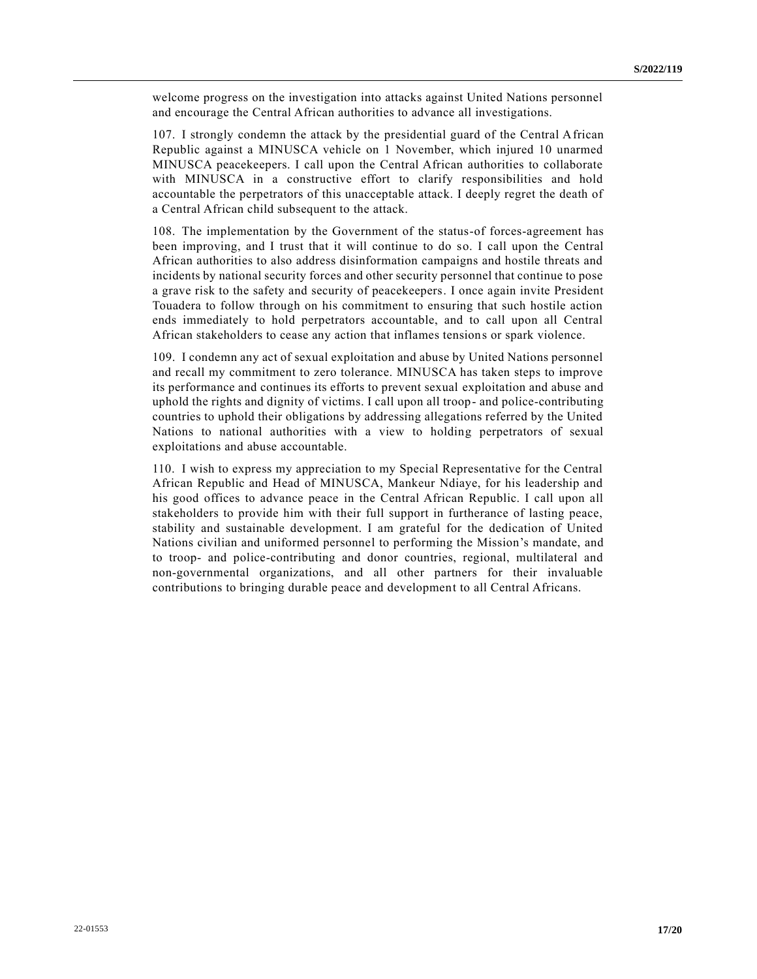welcome progress on the investigation into attacks against United Nations personnel and encourage the Central African authorities to advance all investigations.

107. I strongly condemn the attack by the presidential guard of the Central African Republic against a MINUSCA vehicle on 1 November, which injured 10 unarmed MINUSCA peacekeepers. I call upon the Central African authorities to collaborate with MINUSCA in a constructive effort to clarify responsibilities and hold accountable the perpetrators of this unacceptable attack. I deeply regret the death of a Central African child subsequent to the attack.

108. The implementation by the Government of the status-of forces-agreement has been improving, and I trust that it will continue to do so. I call upon the Central African authorities to also address disinformation campaigns and hostile threats and incidents by national security forces and other security personnel that continue to pose a grave risk to the safety and security of peacekeepers. I once again invite President Touadera to follow through on his commitment to ensuring that such hostile action ends immediately to hold perpetrators accountable, and to call upon all Central African stakeholders to cease any action that inflames tensions or spark violence.

109. I condemn any act of sexual exploitation and abuse by United Nations personnel and recall my commitment to zero tolerance. MINUSCA has taken steps to improve its performance and continues its efforts to prevent sexual exploitation and abuse and uphold the rights and dignity of victims. I call upon all troop- and police-contributing countries to uphold their obligations by addressing allegations referred by the United Nations to national authorities with a view to holding perpetrators of sexual exploitations and abuse accountable.

110. I wish to express my appreciation to my Special Representative for the Central African Republic and Head of MINUSCA, Mankeur Ndiaye, for his leadership and his good offices to advance peace in the Central African Republic. I call upon all stakeholders to provide him with their full support in furtherance of lasting peace, stability and sustainable development. I am grateful for the dedication of United Nations civilian and uniformed personnel to performing the Mission's mandate, and to troop- and police-contributing and donor countries, regional, multilateral and non-governmental organizations, and all other partners for their invaluable contributions to bringing durable peace and development to all Central Africans.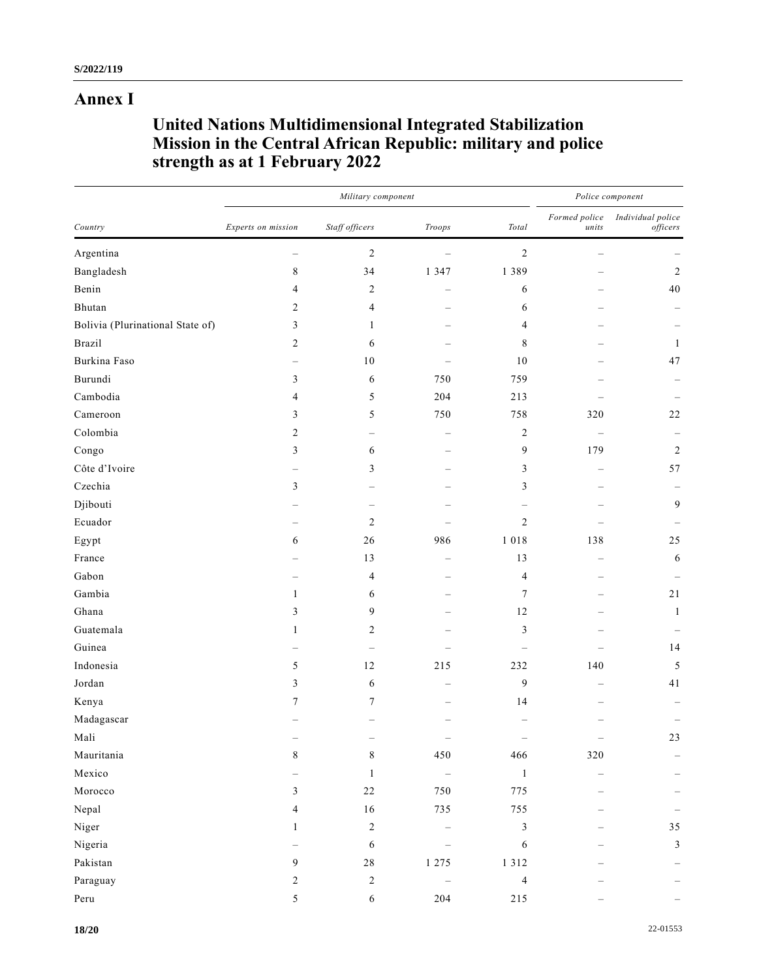## **Annex I**

# **United Nations Multidimensional Integrated Stabilization Mission in the Central African Republic: military and police strength as at 1 February 2022**

|                                  |                    | Military component      | Police component |                        |                        |                               |
|----------------------------------|--------------------|-------------------------|------------------|------------------------|------------------------|-------------------------------|
| Country                          | Experts on mission | Staff officers          | Troops           | $\operatorname{Total}$ | Formed police<br>units | Individual police<br>officers |
| Argentina                        |                    | $\overline{c}$          |                  | $\boldsymbol{2}$       |                        |                               |
| Bangladesh                       | $\,8\,$            | 34                      | 1 3 4 7          | 1389                   |                        | $\sqrt{2}$                    |
| Benin                            | 4                  | 2                       |                  | 6                      |                        | 40                            |
| Bhutan                           | $\overline{c}$     | 4                       |                  | 6                      |                        |                               |
| Bolivia (Plurinational State of) | 3                  | 1                       |                  | 4                      |                        |                               |
| <b>Brazil</b>                    | 2                  | 6                       |                  | $\,$ $\,$              |                        | $\mathbf{1}$                  |
| Burkina Faso                     |                    | $10\,$                  |                  | $10\,$                 |                        | 47                            |
| Burundi                          | 3                  | 6                       | 750              | 759                    |                        |                               |
| Cambodia                         | 4                  | 5                       | 204              | 213                    |                        |                               |
| Cameroon                         | 3                  | 5                       | 750              | 758                    | 320                    | $22\,$                        |
| Colombia                         | $\overline{2}$     |                         |                  | $\overline{c}$         |                        |                               |
| Congo                            | 3                  | 6                       |                  | 9                      | 179                    | $\overline{c}$                |
| Côte d'Ivoire                    |                    | 3                       |                  | 3                      |                        | 57                            |
| Czechia                          | 3                  |                         |                  | $\mathfrak{Z}$         |                        |                               |
| Djibouti                         |                    |                         |                  |                        |                        | $\overline{9}$                |
| Ecuador                          |                    | 2                       |                  | $\overline{2}$         |                        |                               |
| Egypt                            | 6                  | 26                      | 986              | 1 0 1 8                | 138                    | 25                            |
| France                           |                    | 13                      |                  | 13                     |                        | $\sqrt{6}$                    |
| Gabon                            |                    | 4                       |                  | 4                      |                        |                               |
| Gambia                           | $\mathbf{1}$       | 6                       |                  | $\tau$                 |                        | 21                            |
| Ghana                            | 3                  | 9                       |                  | 12                     |                        | $\mathbf{1}$                  |
| Guatemala                        | $\mathbf{1}$       | 2                       |                  | $\mathfrak{Z}$         |                        |                               |
| Guinea                           |                    |                         |                  |                        |                        | 14                            |
| Indonesia                        | 5                  | 12                      | 215              | 232                    | 140                    | 5                             |
| Jordan                           | 3                  | 6                       |                  | 9                      |                        | 41                            |
| Kenya                            | 7                  | 7                       |                  | 14                     |                        |                               |
| $\rm Madagascar$                 |                    |                         |                  |                        |                        |                               |
| Mali                             |                    |                         |                  |                        |                        | 23                            |
| Mauritania                       | $\,8\,$            | $\,8\,$                 | 450              | 466                    | $320\,$                |                               |
| Mexico                           |                    | $\mathbf{1}$            | $\equiv$         | $\mathbf{1}$           |                        |                               |
| Morocco                          | $\mathfrak{Z}$     | $22\,$                  | 750              | 775                    |                        |                               |
| Nepal                            | 4                  | $16\,$                  | 735              | 755                    |                        |                               |
| Niger                            | $\mathbf{1}$       | $\boldsymbol{2}$        |                  | $\mathfrak{Z}$         |                        | 35                            |
| Nigeria                          |                    | 6                       |                  | 6                      |                        | $\mathfrak{Z}$                |
| Pakistan                         | $\overline{9}$     | $2\sqrt{8}$             | 1275             | 1312                   |                        |                               |
| Paraguay                         | $\mathbf{2}$       | $\overline{\mathbf{c}}$ |                  | $\overline{4}$         |                        |                               |
| $\ensuremath{\mathsf{Peru}}$     | 5                  | 6                       | 204              | $215\,$                |                        |                               |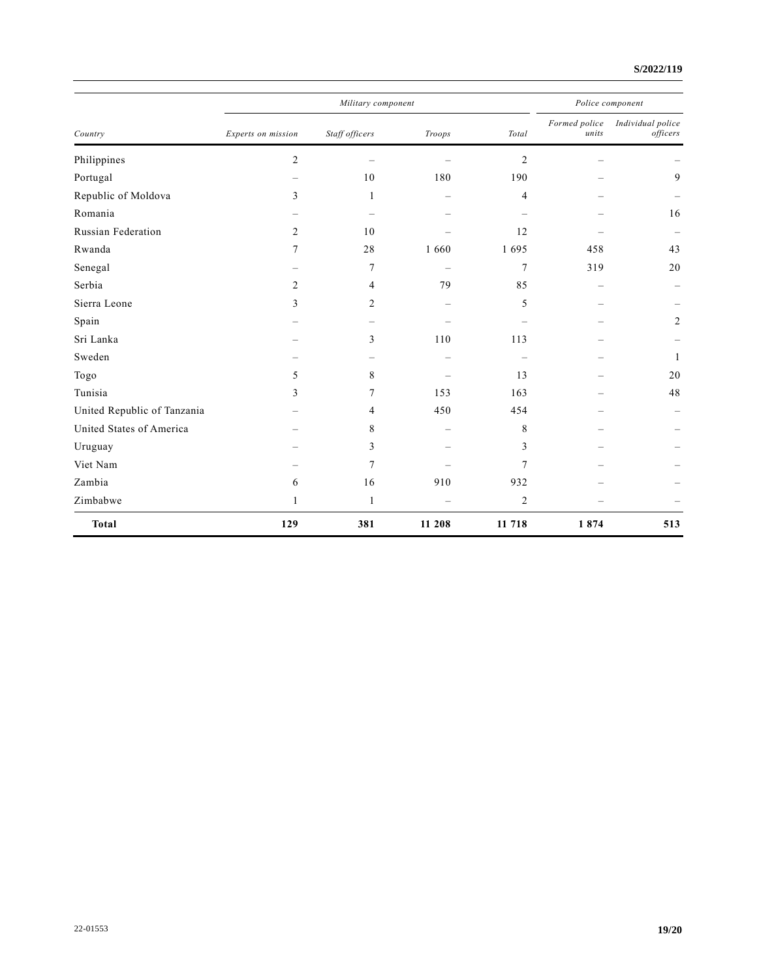#### **S/2022/119**

| Country                     |                          | Police component |                          |                                  |                        |                               |
|-----------------------------|--------------------------|------------------|--------------------------|----------------------------------|------------------------|-------------------------------|
|                             | Experts on mission       | Staff officers   | Troops                   | Total                            | Formed police<br>units | Individual police<br>officers |
| Philippines                 | $\overline{c}$           |                  |                          | $\overline{c}$                   |                        |                               |
| Portugal                    | $\overline{\phantom{m}}$ | 10               | 180                      | 190                              |                        | 9                             |
| Republic of Moldova         | 3                        | 1                |                          | 4                                |                        |                               |
| Romania                     |                          |                  |                          | $\overbrace{\phantom{12322111}}$ |                        | 16                            |
| Russian Federation          | $\overline{2}$           | 10               |                          | 12                               |                        |                               |
| Rwanda                      | 7                        | 28               | 1 660                    | 1695                             | 458                    | 43                            |
| Senegal                     |                          | 7                | $\overline{\phantom{0}}$ | $\overline{7}$                   | 319                    | 20                            |
| Serbia                      | $\overline{2}$           | 4                | 79                       | 85                               |                        |                               |
| Sierra Leone                | 3                        | 2                |                          | 5                                |                        |                               |
| Spain                       |                          |                  |                          |                                  |                        | 2                             |
| Sri Lanka                   |                          | 3                | 110                      | 113                              |                        |                               |
| Sweden                      |                          |                  |                          | $\overbrace{\phantom{12322111}}$ |                        | $\mathbf{1}$                  |
| Togo                        | 5                        | 8                |                          | 13                               |                        | 20                            |
| Tunisia                     | 3                        | 7                | 153                      | 163                              |                        | 48                            |
| United Republic of Tanzania |                          | 4                | 450                      | 454                              |                        |                               |
| United States of America    |                          | 8                |                          | 8                                |                        |                               |
| Uruguay                     |                          | 3                |                          | 3                                |                        |                               |
| Viet Nam                    |                          | 7                |                          | $\overline{7}$                   |                        |                               |
| Zambia                      | 6                        | 16               | 910                      | 932                              |                        |                               |
| Zimbabwe                    | 1                        | $\mathbf{1}$     |                          | $\overline{2}$                   |                        |                               |
| <b>Total</b>                | 129                      | 381              | 11 208                   | 11 718                           | 1874                   | 513                           |